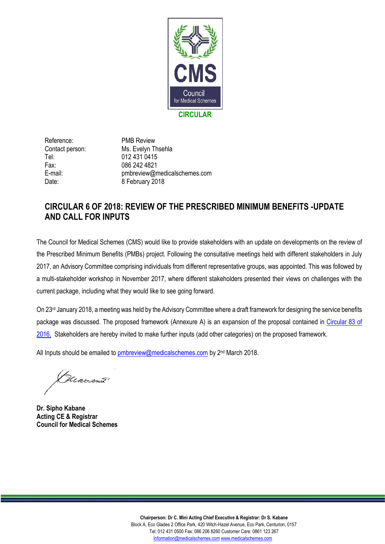

Reference: PMB Review Tel: 012 431 0415 Fax: 086 242 4821

Contact person: Ms. Evelyn Thsehla E-mail: pmbreview@medicalschemes.com Date: 8 February 2018

# **CIRCULAR 6 OF 2018: REVIEW OF THE PRESCRIBED MINIMUM BENEFITS -UPDATE AND CALL FOR INPUTS**

The Council for Medical Schemes (CMS) would like to provide stakeholders with an update on developments on the review of the Prescribed Minimum Benefits (PMBs) project. Following the consultative meetings held with different stakeholders in July 2017, an Advisory Committee comprising individuals from different representative groups, was appointed. This was followed by a multi-stakeholder workshop in November 2017, where different stakeholders presented their views on challenges with the current package, including what they would like to see going forward.

On 23rd January 2018, a meeting was held by the Advisory Committee where a draft framework for designing the service benefits package was discussed. The proposed framework (Annexure A) is an expansion of the proposal contained in [Circular 83 of](https://www.medicalschemes.com/files/Circulars/circular83of2016.pdf)  [2016.](https://www.medicalschemes.com/files/Circulars/circular83of2016.pdf) Stakeholders are hereby invited to make further inputs (add other categories) on the proposed framework.

All Inputs should be emailed to **pmbreview@medicalschemes.com** by 2<sup>nd</sup> March 2018.

Hearson?

**Dr. Sipho Kabane Acting CE & Registrar Council for Medical Schemes**

**Chairperson: Dr C. Mini Acting Chief Executive & Registrar: Dr S. Kabane** Block A, Eco Glades 2 Office Park, 420 Witch-Hazel Avenue, Eco Park, Centurion, 0157 Tel: 012 431 0500 Fax: 086 206 8260 Customer Care: 0861 123 267 [Information@medicalschemes.com](mailto:Information@medicalschemes.com) [www.medicalschemes.com](http://www.medicalschemes.com/)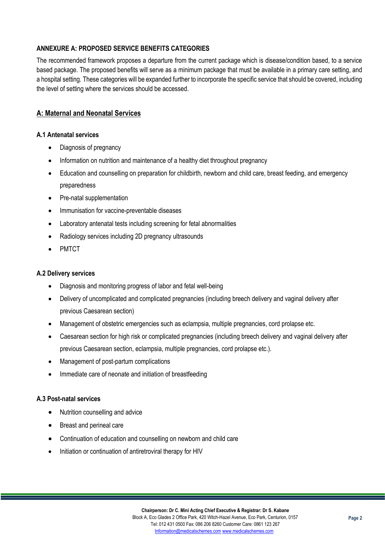## **ANNEXURE A: PROPOSED SERVICE BENEFITS CATEGORIES**

The recommended framework proposes a departure from the current package which is disease/condition based, to a service based package. The proposed benefits will serve as a minimum package that must be available in a primary care setting, and a hospital setting. These categories will be expanded further to incorporate the specific service that should be covered, including the level of setting where the services should be accessed.

# **A: Maternal and Neonatal Services**

#### **A.1 Antenatal services**

- Diagnosis of pregnancy
- Information on nutrition and maintenance of a healthy diet throughout pregnancy
- Education and counselling on preparation for childbirth, newborn and child care, breast feeding, and emergency preparedness
- Pre-natal supplementation
- Immunisation for vaccine-preventable diseases
- Laboratory antenatal tests including screening for fetal abnormalities
- Radiology services including 2D pregnancy ultrasounds
- PMTCT

#### **A.2 Delivery services**

- Diagnosis and monitoring progress of labor and fetal well-being
- Delivery of uncomplicated and complicated pregnancies (including breech delivery and vaginal delivery after previous Caesarean section)
- Management of obstetric emergencies such as eclampsia, multiple pregnancies, cord prolapse etc.
- Caesarean section for high risk or complicated pregnancies (including breech delivery and vaginal delivery after previous Caesarean section, eclampsia, multiple pregnancies, cord prolapse etc.).
- Management of post-partum complications
- Immediate care of neonate and initiation of breastfeeding

#### **A.3 Post-natal services**

- Nutrition counselling and advice
- Breast and perineal care
- Continuation of education and counselling on newborn and child care
- Initiation or continuation of antiretroviral therapy for HIV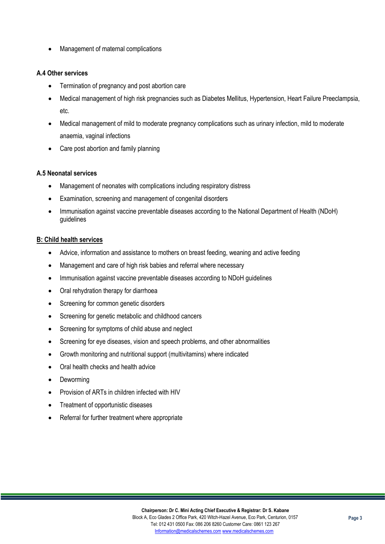• Management of maternal complications

### **A.4 Other services**

- Termination of pregnancy and post abortion care
- Medical management of high risk pregnancies such as Diabetes Mellitus, Hypertension, Heart Failure Preeclampsia, etc.
- Medical management of mild to moderate pregnancy complications such as urinary infection, mild to moderate anaemia, vaginal infections
- Care post abortion and family planning

#### **A.5 Neonatal services**

- Management of neonates with complications including respiratory distress
- Examination, screening and management of congenital disorders
- Immunisation against vaccine preventable diseases according to the National Department of Health (NDoH) guidelines

#### **B: Child health services**

- Advice, information and assistance to mothers on breast feeding, weaning and active feeding
- Management and care of high risk babies and referral where necessary
- Immunisation against vaccine preventable diseases according to NDoH guidelines
- Oral rehydration therapy for diarrhoea
- Screening for common genetic disorders
- Screening for genetic metabolic and childhood cancers
- Screening for symptoms of child abuse and neglect
- Screening for eye diseases, vision and speech problems, and other abnormalities
- Growth monitoring and nutritional support (multivitamins) where indicated
- Oral health checks and health advice
- Deworming
- Provision of ARTs in children infected with HIV
- Treatment of opportunistic diseases
- Referral for further treatment where appropriate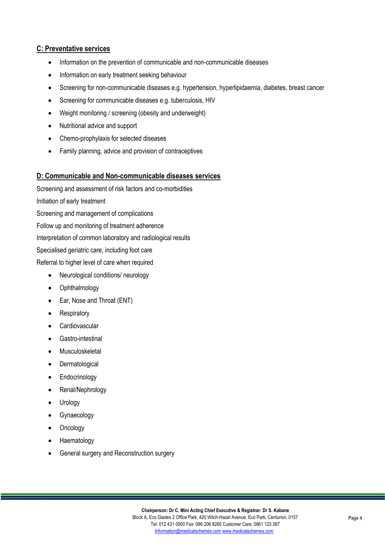## **C: Preventative services**

- Information on the prevention of communicable and non-communicable diseases
- Information on early treatment seeking behaviour
- Screening for non-communicable diseases e.g. hypertension, hyperlipidaemia, diabetes, breast cancer
- Screening for communicable diseases e.g. tuberculosis, HIV
- Weight monitoring / screening (obesity and underweight)
- Nutritional advice and support
- Chemo-prophylaxis for selected diseases
- Family planning, advice and provision of contraceptives

#### **D: Communicable and Non-communicable diseases services**

Screening and assessment of risk factors and co-morbidities Initiation of early treatment Screening and management of complications Follow up and monitoring of treatment adherence Interpretation of common laboratory and radiological results Specialised geriatric care, including foot care Referral to higher level of care when required • Neurological conditions/ neurology

- Ophthalmology
- Ear, Nose and Throat (ENT)
- **Respiratory**
- Cardiovascular
- Gastro-intestinal
- Musculoskeletal
- Dermatological
- Endocrinology
- Renal/Nephrology
- Urology
- Gynaecology
- **Oncology**
- Haematology
- General surgery and Reconstruction surgery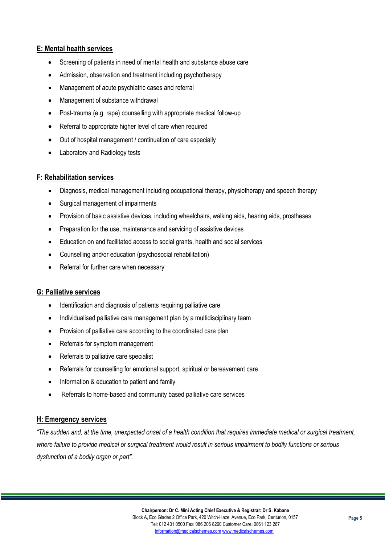## **E: Mental health services**

- Screening of patients in need of mental health and substance abuse care
- Admission, observation and treatment including psychotherapy
- Management of acute psychiatric cases and referral
- Management of substance withdrawal
- Post-trauma (e.g. rape) counselling with appropriate medical follow-up
- Referral to appropriate higher level of care when required
- Out of hospital management / continuation of care especially
- Laboratory and Radiology tests

## **F: Rehabilitation services**

- Diagnosis, medical management including occupational therapy, physiotherapy and speech therapy
- Surgical management of impairments
- Provision of basic assistive devices, including wheelchairs, walking aids, hearing aids, prostheses
- Preparation for the use, maintenance and servicing of assistive devices
- Education on and facilitated access to social grants, health and social services
- Counselling and/or education (psychosocial rehabilitation)
- Referral for further care when necessary

## **G: Palliative services**

- Identification and diagnosis of patients requiring palliative care
- Individualised palliative care management plan by a multidisciplinary team
- Provision of palliative care according to the coordinated care plan
- Referrals for symptom management
- Referrals to palliative care specialist
- Referrals for counselling for emotional support, spiritual or bereavement care
- Information & education to patient and family
- Referrals to home-based and community based palliative care services

## **H: Emergency services**

*"The sudden and, at the time, unexpected onset of a health condition that requires immediate medical or surgical treatment, where failure to provide medical or surgical treatment would result in serious impairment to bodily functions or serious dysfunction of a bodily organ or part".*